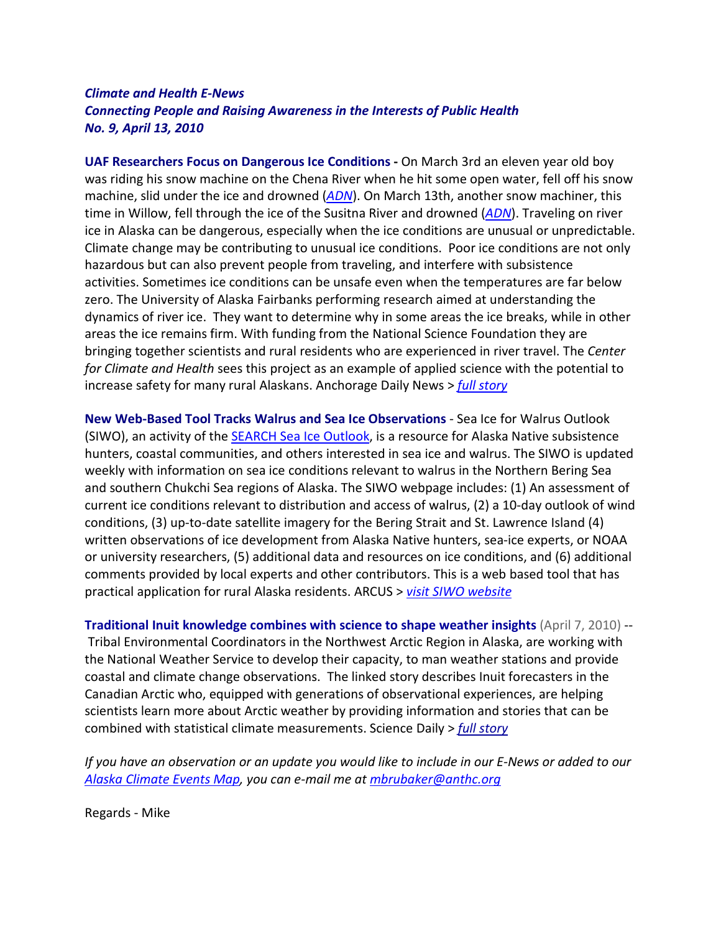## *Climate and Health E-News Connecting People and Raising Awareness in the Interests of Public Health No. 9, April 13, 2010*

**UAF Researchers Focus on Dangerous Ice Conditions -** On March 3rd an eleven year old boy was riding his snow machine on the Chena River when he hit some open water, fell off his snow machine, slid under the ice and drowned (*[ADN](http://www.adn.com/2010/03/03/1166081/fairbanks-boy-dies-in-fall-through.html)*). On March 13th, another snow machiner, this time in Willow, fell through the ice of the Susitna River and drowned (*[ADN](http://www.adn.com/2010/03/13/1182535/snowmachiner-falls-through-ice.html)*). Traveling on river ice in Alaska can be dangerous, especially when the ice conditions are unusual or unpredictable. Climate change may be contributing to unusual ice conditions. Poor ice conditions are not only hazardous but can also prevent people from traveling, and interfere with subsistence activities. Sometimes ice conditions can be unsafe even when the temperatures are far below zero. The University of Alaska Fairbanks performing research aimed at understanding the dynamics of river ice. They want to determine why in some areas the ice breaks, while in other areas the ice remains firm. With funding from the National Science Foundation they are bringing together scientists and rural residents who are experienced in river travel. The *Center for Climate and Health* sees this project as an example of applied science with the potential to increase safety for many rural Alaskans. Anchorage Daily News > *[full story](http://www.adn.com/2010/04/10/1220487/dangerous-river-ice-the-focus.html)*

**New Web-Based Tool Tracks Walrus and Sea Ice Observations** - Sea Ice for Walrus Outlook (SIWO), an activity of the [SEARCH Sea Ice Outlook,](http://www.arcus.org/search/seaiceoutlook/index.php) is a resource for Alaska Native subsistence hunters, coastal communities, and others interested in sea ice and walrus. The SIWO is updated weekly with information on sea ice conditions relevant to walrus in the Northern Bering Sea and southern Chukchi Sea regions of Alaska. The SIWO webpage includes: (1) An assessment of current ice conditions relevant to distribution and access of walrus, (2) a 10-day outlook of wind conditions, (3) up-to-date satellite imagery for the Bering Strait and St. Lawrence Island (4) written observations of ice development from Alaska Native hunters, sea-ice experts, or NOAA or university researchers, (5) additional data and resources on ice conditions, and (6) additional comments provided by local experts and other contributors. This is a web based tool that has practical application for rural Alaska residents. ARCUS > *[visit SIWO website](http://www.arcus.org/search/siwo)*

**[Traditional Inuit knowledge combines with science to shape weather insights](http://click.icptrack.com/icp/relay.php?r=1067381523&msgid=31179931&act=R0OA&c=67953&destination=http%3A%2F%2Fwww.sciencedaily.com%2Freleases%2F2010%2F04%2F100407190000.htm)** (April 7, 2010) -- Tribal Environmental Coordinators in the Northwest Arctic Region in Alaska, are working with the National Weather Service to develop their capacity, to man weather stations and provide coastal and climate change observations. The linked story describes Inuit forecasters in the Canadian Arctic who, equipped with generations of observational experiences, are helping scientists learn more about Arctic weather by providing information and stories that can be combined with statistical climate measurements. Science Daily > *full [story](https://www.sciencedaily.com/releases/2010/04/100407190000.htm)*

*If you have an observation or an update you would like to include in our E-News or added to our [Alaska Climate Events Map,](http://www.anthc.org/chs/ces/climate/index.cfm) you can e-mail me at [mbrubaker@anthc.org](mailto:mbrubaker@anthc.org)*

Regards - Mike